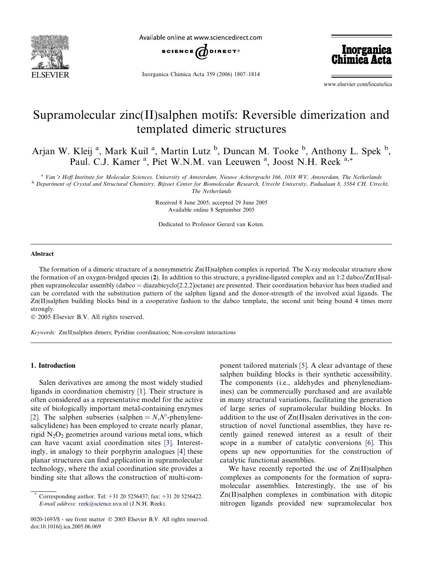

Available online at www.sciencedirect.com



Inorganica Chimica Acta 359 (2006) 1807–1814

Inorganica<br>Chimica Acta

www.elsevier.com/locate/ica

# Supramolecular zinc(II)salphen motifs: Reversible dimerization and templated dimeric structures

Arjan W. Kleij<sup>a</sup>, Mark Kuil<sup>a</sup>, Martin Lutz<sup>b</sup>, Duncan M. Tooke<sup>b</sup>, Anthony L. Spek<sup>b</sup>, Paul. C.J. Kamer<sup>a</sup>, Piet W.N.M. van Leeuwen<sup>a</sup>, Joost N.H. Reek<sup>a,\*</sup>

a Van 't Hoff Institute for Molecular Sciences, University of Amsterdam, Nieuwe Achtergracht 166, 1018 WV, Amsterdam, The Netherlands **b** Department of Crystal and Structural Chemistry, Bijvoet Center for Biomolecular Research, Utrecht University, Padualaan 8, 3584 CH, Utrecht, The Netherlands

> Received 8 June 2005; accepted 29 June 2005 Available online 8 September 2005

Dedicated to Professor Gerard van Koten.

### Abstract

The formation of a dimeric structure of a nonsymmetric  $Zn(II)$ salphen complex is reported. The X-ray molecular structure show the formation of an oxygen-bridged species (2). In addition to this structure, a pyridine-ligated complex and an 1:2 dabco/Zn(II)salphen supramolecular assembly (dabco = diazabicyclo[2.2.2]octane) are presented. Their coordination behavior has been studied and can be correlated with the substitution pattern of the salphen ligand and the donor-strength of the involved axial ligands. The Zn(II)salphen building blocks bind in a cooperative fashion to the dabco template, the second unit being bound 4 times more strongly.

© 2005 Elsevier B.V. All rights reserved.

Keywords: Zn(II)salphen dimers; Pyridine coordination; Non-covalent interactions

## 1. Introduction

Salen derivatives are among the most widely studied ligands in coordination chemistry [\[1\]](#page-6-0). Their structure is often considered as a representative model for the active site of biologically important metal-containing enzymes [\[2\].](#page-6-0) The salphen subseries (salphen  $=N, N'$ -phenylenesalicylidene) has been employed to create nearly planar, rigid  $N<sub>2</sub>O<sub>2</sub>$  geometries around various metal ions, which can have vacant axial coordination sites [\[3\]](#page-6-0). Interestingly, in analogy to their porphyrin analogues [\[4\]](#page-6-0) these planar structures can find application in supramolecular technology, where the axial coordination site provides a binding site that allows the construction of multi-component tailored materials [\[5\]](#page-6-0). A clear advantage of these salphen building blocks is their synthetic accessibility. The components (i.e., aldehydes and phenylenediamines) can be commercially purchased and are available in many structural variations, facilitating the generation of large series of supramolecular building blocks. In addition to the use of Zn(II)salen derivatives in the construction of novel functional assemblies, they have recently gained renewed interest as a result of their scope in a number of catalytic conversions [\[6\].](#page-6-0) This opens up new opportunities for the construction of catalytic functional assemblies.

We have recently reported the use of  $Zn(II)$ salphen complexes as components for the formation of supramolecular assemblies. Interestingly, the use of bis Zn(II)salphen complexes in combination with ditopic nitrogen ligands provided new supramolecular box

Corresponding author. Tel: +31 20 5256437; fax: +31 20 5256422. E-mail address: [reek@science.uva.nl](mailto:reek@science.uva.nl) (J.N.H. Reek).

<sup>0020-1693/\$ -</sup> see front matter © 2005 Elsevier B.V. All rights reserved. doi:10.1016/j.ica.2005.06.069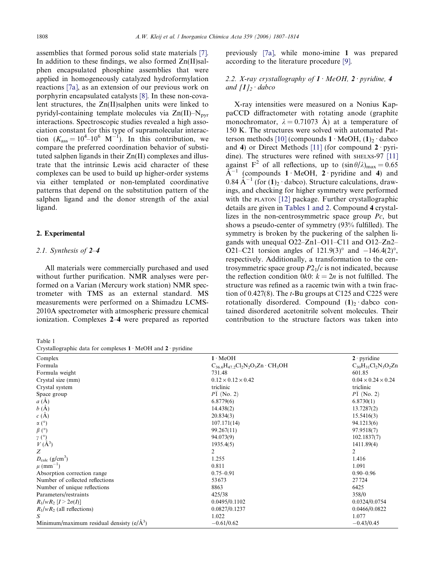<span id="page-1-0"></span>assemblies that formed porous solid state materials [\[7\]](#page-6-0). In addition to these findings, we also formed  $Zn(II)$ salphen encapsulated phosphine assemblies that were applied in homogeneously catalyzed hydroformylation reactions [7a], as an extension of our previous work on porphyrin encapsulated catalysts [\[8\]](#page-6-0). In these non-covalent structures, the Zn(II)salphen units were linked to pyridyl-containing template molecules via  $Zn(II)-N<sub>pvr</sub>$ interactions. Spectroscopic studies revealed a high association constant for this type of supramolecular interaction  $(K_{\text{ass}} = 10^4 - 10^6 \text{ M}^{-1})$ . In this contribution, we compare the preferred coordination behavior of substituted salphen ligands in their Zn(II) complexes and illustrate that the intrinsic Lewis acid character of these complexes can be used to build up higher-order systems via either templated or non-templated coordinative patterns that depend on the substitution pattern of the salphen ligand and the donor strength of the axial ligand.

# 2. Experimental

# 2.1. Synthesis of 2–4

All materials were commercially purchased and used without further purification. NMR analyses were performed on a Varian (Mercury work station) NMR spectrometer with TMS as an external standard. MS measurements were performed on a Shimadzu LCMS-2010A spectrometer with atmospheric pressure chemical ionization. Complexes 2–4 were prepared as reported

Table 1

Crystallographic data for complexes  $1 \cdot \text{MeOH}$  and  $2 \cdot \text{ovridine}$ 

previously [7a], while mono-imine 1 was prepared according to the literature procedure [\[9\]](#page-6-0).

# 2.2. X-ray crystallography of  $1 \cdot MeOH$ ,  $2 \cdot$  pyridine, 4 and  $[1]_2 \cdot$  dabco

X-ray intensities were measured on a Nonius KappaCCD diffractometer with rotating anode (graphite monochromator,  $\lambda = 0.71073$  Å) at a temperature of 150 K. The structures were solved with automated Pat-terson methods [\[10\]](#page-6-0) (compounds  $1 \cdot \text{MeOH}$ , (1)<sub>2</sub>  $\cdot$  dabco and 4) or Direct Methods [\[11\]](#page-6-0) (for compound  $2$  · pyri-dine). The structures were refined with SHELXS-97 [\[11\]](#page-6-0) against F<sup>2</sup> of all reflections, up to  $(\sin \theta/\lambda)_{\text{max}} = 0.65$  $A^{-1}$  (compounds 1 MeOH, 2 pyridine and 4) and  $0.84 \text{ Å}^{-1}$  (for  $(1)_2$  · dabco). Structure calculations, drawings, and checking for higher symmetry were performed with the PLATON [\[12\]](#page-6-0) package. Further crystallographic details are given in Tables 1 and 2. Compound 4 crystallizes in the non-centrosymmetric space group  $P_c$ , but shows a pseudo-center of symmetry (93% fulfilled). The symmetry is broken by the puckering of the salphen ligands with unequal O22–Zn1–O11–C11 and O12–Zn2– O21–C21 torsion angles of  $121.9(3)^\circ$  and  $-146.4(2)^\circ$ , respectively. Additionally, a transformation to the centrosymmetric space group  $P2<sub>1</sub>/c$  is not indicated, because the reflection condition  $0k0$ :  $k = 2n$  is not fulfilled. The structure was refined as a racemic twin with a twin fraction of 0.427(8). The  $t$ -Bu groups at C125 and C225 were rotationally disordered. Compound  $(1)_2$  dabco contained disordered acetonitrile solvent molecules. Their contribution to the structure factors was taken into

| $\alpha$ , $\beta$ , $\alpha$ , $\beta$ , $\alpha$ , $\beta$ , $\alpha$ , $\beta$ , $\alpha$ , $\beta$ , $\alpha$ , $\beta$ , $\alpha$ , $\beta$ , $\alpha$ , $\beta$ , $\alpha$ , $\beta$ , $\alpha$ , $\beta$ , $\alpha$ , $\beta$ , $\alpha$ , $\beta$ , $\alpha$ , $\beta$ , $\alpha$ , $\beta$ , $\alpha$ , $\beta$ , $\alpha$ , $\beta$ , $\alpha$ , $\beta$ , $\alpha$ , $\beta$ , $\alpha$ , |                                             |                                |
|------------------------------------------------------------------------------------------------------------------------------------------------------------------------------------------------------------------------------------------------------------------------------------------------------------------------------------------------------------------------------------------------------|---------------------------------------------|--------------------------------|
| Complex                                                                                                                                                                                                                                                                                                                                                                                              | $1 \cdot \text{MeOH}$                       | $2$ · pyridine                 |
| Formula                                                                                                                                                                                                                                                                                                                                                                                              | $C_{36.6}H_{47.2}Cl_2N_2O_3Zn \cdot CH_3OH$ | $C_{30}H_{31}Cl_2N_3O_2Zn$     |
| Formula weight                                                                                                                                                                                                                                                                                                                                                                                       | 731.48                                      | 601.85                         |
| Crystal size (mm)                                                                                                                                                                                                                                                                                                                                                                                    | $0.12 \times 0.12 \times 0.42$              | $0.04 \times 0.24 \times 0.24$ |
| Crystal system                                                                                                                                                                                                                                                                                                                                                                                       | triclinic                                   | triclinic                      |
| Space group                                                                                                                                                                                                                                                                                                                                                                                          | $P\bar{1}$ (No. 2)                          | $P1$ (No. 2)                   |
| $a(\AA)$                                                                                                                                                                                                                                                                                                                                                                                             | 6.8779(6)                                   | 6.8730(1)                      |
| b(A)                                                                                                                                                                                                                                                                                                                                                                                                 | 14.438(2)                                   | 13.7287(2)                     |
| c(A)                                                                                                                                                                                                                                                                                                                                                                                                 | 20.834(3)                                   | 15.5416(3)                     |
| $\alpha$ (°)                                                                                                                                                                                                                                                                                                                                                                                         | 107.171(14)                                 | 94.1213(6)                     |
| $\beta$ (°)                                                                                                                                                                                                                                                                                                                                                                                          | 99.267(11)                                  | 97.9518(7)                     |
|                                                                                                                                                                                                                                                                                                                                                                                                      | 94.073(9)                                   | 102.1837(7)                    |
| $\stackrel{\gamma}{\nu}{}^{\!\! (^{\circ})}_{\,V(\AA^3)}$                                                                                                                                                                                                                                                                                                                                            | 1935.4(5)                                   | 1411.89(4)                     |
| Z                                                                                                                                                                                                                                                                                                                                                                                                    | 2                                           | $\overline{2}$                 |
| $D_{\rm calc}$ (g/cm <sup>3</sup> )                                                                                                                                                                                                                                                                                                                                                                  | 1.255                                       | 1.416                          |
| $\mu$ (mm <sup>-1</sup> )                                                                                                                                                                                                                                                                                                                                                                            | 0.811                                       | 1.091                          |
| Absorption correction range                                                                                                                                                                                                                                                                                                                                                                          | $0.75 - 0.91$                               | $0.90 - 0.96$                  |
| Number of collected reflections                                                                                                                                                                                                                                                                                                                                                                      | 53673                                       | 27724                          |
| Number of unique reflections                                                                                                                                                                                                                                                                                                                                                                         | 8863                                        | 6425                           |
| Parameters/restraints                                                                                                                                                                                                                                                                                                                                                                                | 425/38                                      | 358/0                          |
| $R_1/wR_2$ [ $I > 2\sigma(I)$ ]                                                                                                                                                                                                                                                                                                                                                                      | 0.0495/0.1102                               | 0.0324/0.0754                  |
| $R_1/wR_2$ (all reflections)                                                                                                                                                                                                                                                                                                                                                                         | 0.0827/0.1237                               | 0.0466/0.0822                  |
| S                                                                                                                                                                                                                                                                                                                                                                                                    | 1.022                                       | 1.077                          |
| Minimum/maximum residual densisty $(e/\overline{A}^3)$                                                                                                                                                                                                                                                                                                                                               | $-0.61/0.62$                                | $-0.43/0.45$                   |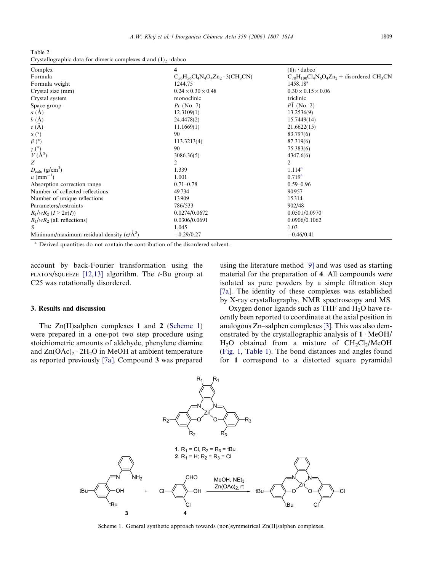<span id="page-2-0"></span>Table 2 Crystallographic data for dimeric complexes 4 and  $(1)_2$  dabco

| Complex                                             | 4                                            | $(1)$ , dabco                                                 |
|-----------------------------------------------------|----------------------------------------------|---------------------------------------------------------------|
| Formula                                             | $C_{56}H_{56}Cl_4N_4O_4Zn_2 \cdot 3(CH_3CN)$ | $C_{78}H_{100}Cl_4N_6O_4Zn_2$ + disordered CH <sub>3</sub> CN |
| Formula weight                                      | 1244.75                                      | 1458.18 <sup>a</sup>                                          |
| Crystal size (mm)                                   | $0.24 \times 0.30 \times 0.48$               | $0.30 \times 0.15 \times 0.06$                                |
| Crystal system                                      | monoclinic                                   | triclinic                                                     |
| Space group                                         | $Pc$ (No. 7)                                 | $P1$ (No. 2)                                                  |
| $a(\AA)$                                            | 12.3109(1)                                   | 13.2536(9)                                                    |
| b(A)                                                | 24.4478(2)                                   | 15.7449(14)                                                   |
| c(A)                                                | 11.1669(1)                                   | 21.6622(15)                                                   |
| $\alpha$ (°)                                        | 90                                           | 83.797(6)                                                     |
| $\beta$ (°)                                         | 113.3213(4)                                  | 87.319(6)                                                     |
| $\gamma$ (°)                                        | 90                                           | 75.383(6)                                                     |
| $V(\AA^3)$                                          | 3086.36(5)                                   | 4347.6(6)                                                     |
| Z                                                   | 2                                            | 2                                                             |
| $D_{\rm calc}$ (g/cm <sup>3</sup> )                 | 1.339                                        | $1.114^{a}$                                                   |
| $\mu$ (mm <sup>-1</sup> )                           | 1.001                                        | $0.719^{a}$                                                   |
| Absorption correction range                         | $0.71 - 0.78$                                | $0.59 - 0.96$                                                 |
| Number of collected reflections                     | 49734                                        | 90957                                                         |
| Number of unique reflections                        | 13909                                        | 15314                                                         |
| Parameters/restraints                               | 786/533                                      | 902/48                                                        |
| $R_1/wR_2 (I > 2\sigma(I))$                         | 0.0274/0.0672                                | 0.0501/0.0970                                                 |
| $R_1/wR_2$ (all reflections)                        | 0.0306/0.0691                                | 0.0906/0.1062                                                 |
| S                                                   | 1.045                                        | 1.03                                                          |
| Minimum/maximum residual density $(e/\text{\AA}^3)$ | $-0.29/0.27$                                 | $-0.46/0.41$                                                  |

<sup>a</sup> Derived quantities do not contain the contribution of the disordered solvent.

account by back-Fourier transformation using the PLATON/SQUEEZE [\[12,13\]](#page-6-0) algorithm. The  $t$ -Bu group at C25 was rotationally disordered.

# 3. Results and discussion

The Zn(II)salphen complexes 1 and 2 (Scheme 1) were prepared in a one-pot two step procedure using stoichiometric amounts of aldehyde, phenylene diamine and  $Zn(OAc)$   $\cdot$  2H<sub>2</sub>O in MeOH at ambient temperature as reported previously [7a]. Compound 3 was prepared using the literature method [\[9\]](#page-6-0) and was used as starting material for the preparation of 4. All compounds were isolated as pure powders by a simple filtration step [7a]. The identity of these complexes was established by X-ray crystallography, NMR spectroscopy and MS.

Oxygen donor ligands such as THF and  $H_2O$  have recently been reported to coordinate at the axial position in analogous Zn–salphen complexes [\[3\].](#page-6-0) This was also demonstrated by the crystallographic analysis of  $1 \cdot \text{MeOH}/$  $H_2O$  obtained from a mixture of  $CH_2Cl_2/MeOH$ ([Fig. 1](#page-3-0), [Table 1](#page-1-0)). The bond distances and angles found for 1 correspond to a distorted square pyramidal



Scheme 1. General synthetic approach towards (non)symmetrical Zn(II)salphen complexes.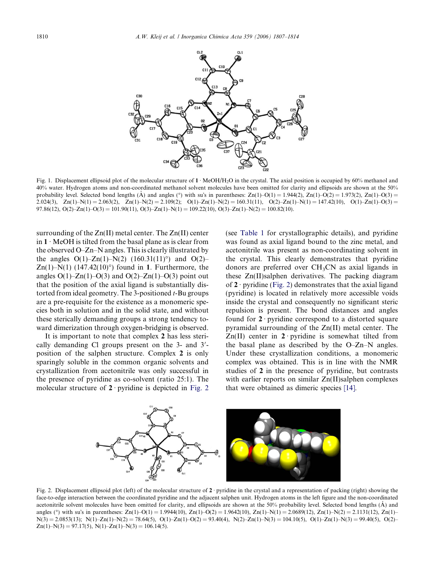<span id="page-3-0"></span>

Fig. 1. Displacement ellipsoid plot of the molecular structure of  $1 \cdot \text{MeOH/H}_2\text{O}$  in the crystal. The axial position is occupied by 60% methanol and 40% water. Hydrogen atoms and non-coordinated methanol solvent molecules have been omitted for clarity and ellipsoids are shown at the 50% probability level. Selected bond lengths  $(\hat{A})$  and angles (°) with su's in parentheses:  $Zn(1)-O(1) = 1.944(2)$ ,  $Zn(1)-O(2) = 1.973(2)$ ,  $Zn(1)-O(3) = 1.973(2)$ 2.024(3), Zn(1)–N(1) = 2.063(2), Zn(1)–N(2) = 2.109(2); O(1)–Zn(1)–N(2) = 160.31(11), O(2)–Zn(1)–N(1) = 147.42(10), O(1)–Zn(1)–O(3) = 97.86(12),  $O(2)$ – $Zn(1)$ – $O(3) = 101.90(11)$ ,  $O(3)$ – $Zn(1)$ – $N(1) = 109.22(10)$ ,  $O(3)$ – $Zn(1)$ – $N(2) = 100.82(10)$ .

surrounding of the Zn(II) metal center. The Zn(II) center in  $1 \cdot$  MeOH is tilted from the basal plane as is clear from the observed O–Zn–N angles. This is clearly illustrated by the angles  $O(1)$ – $Zn(1)$ – $N(2)$  (160.31(11)<sup>o</sup>) and  $O(2)$ – Zn(1)–N(1) (147.42(10)°) found in 1. Furthermore, the angles  $O(1)$ – $Zn(1)$ – $O(3)$  and  $O(2)$ – $Zn(1)$ – $O(3)$  point out that the position of the axial ligand is substantially distorted from ideal geometry. The 3-positioned *t*-Bu groups are a pre-requisite for the existence as a monomeric species both in solution and in the solid state, and without these sterically demanding groups a strong tendency toward dimerization through oxygen-bridging is observed.

It is important to note that complex 2 has less sterically demanding Cl groups present on the  $3$ - and  $3'$ position of the salphen structure. Complex 2 is only sparingly soluble in the common organic solvents and crystallization from acetonitrile was only successful in the presence of pyridine as co-solvent (ratio 25:1). The molecular structure of  $2$  pyridine is depicted in Fig. 2 (see [Table 1](#page-1-0) for crystallographic details), and pyridine was found as axial ligand bound to the zinc metal, and acetonitrile was present as non-coordinating solvent in the crystal. This clearly demonstrates that pyridine donors are preferred over  $CH<sub>3</sub>CN$  as axial ligands in these Zn(II)salphen derivatives. The packing diagram of  $2 \cdot$  pyridine (Fig. 2) demonstrates that the axial ligand (pyridine) is located in relatively more accessible voids inside the crystal and consequently no significant steric repulsion is present. The bond distances and angles found for  $2 \cdot$  pyridine correspond to a distorted square pyramidal surrounding of the Zn(II) metal center. The  $Zn(II)$  center in  $2$  pyridine is somewhat tilted from the basal plane as described by the O–Zn–N angles. Under these crystallization conditions, a monomeric complex was obtained. This is in line with the NMR studies of 2 in the presence of pyridine, but contrasts with earlier reports on similar Zn(II)salphen complexes that were obtained as dimeric species [\[14\].](#page-7-0)



Fig. 2. Displacement ellipsoid plot (left) of the molecular structure of  $2 \cdot$  pyridine in the crystal and a representation of packing (right) showing the face-to-edge interaction between the coordinated pyridine and the adjacent salphen unit. Hydrogen atoms in the left figure and the non-coordinated acetonitrile solvent molecules have been omitted for clarity, and ellipsoids are shown at the 50% probability level. Selected bond lengths (Å) and angles (°) with su's in parentheses:  $Zn(1) - O(1) = 1.9944(10)$ ,  $Zn(1) - O(2) = 1.9642(10)$ ,  $Zn(1) - N(1) = 2.0689(12)$ ,  $Zn(1) - N(2) = 2.1131(12)$ ,  $Zn(1) - N(3) = 2.1131(12)$  $N(3) = 2.0853(13); N(1) - Zn(1) - N(2) = 78.64(5), O(1) - Zn(1) - O(2) = 93.40(4), N(2) - Zn(1) - N(3) = 104.10(5), O(1) - Zn(1) - N(3) = 99.40(5), O(2) - Qn(3)$  $Zn(1) - N(3) = 97.17(5), N(1) - Zn(1) - N(3) = 106.14(5).$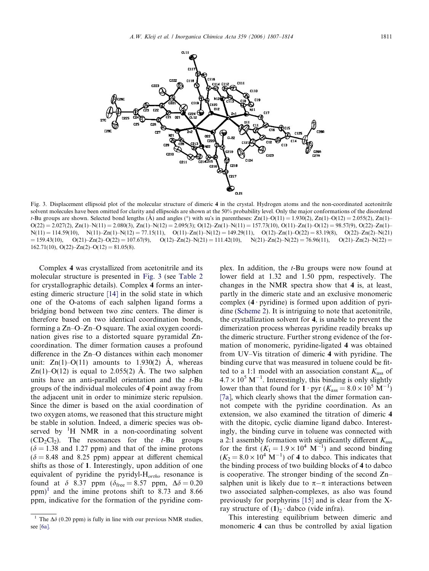

Fig. 3. Displacement ellipsoid plot of the molecular structure of dimeric 4 in the crystal. Hydrogen atoms and the non-coordinated acetonitrile solvent molecules have been omitted for clarity and ellipsoids are shown at the 50% probability level. Only the major conformations of the disordered t-Bu groups are shown. Selected bond lengths ( $\AA$ ) and angles (°) with su's in parentheses:  $Zn(1)-O(11) = 1.930(2)$ ,  $Zn(1)-O(12) = 2.055(2)$ ,  $Zn(1)-O(12)$  $O(22) = 2.027(2)$ , Zn(1)–N(11) = 2.080(3), Zn(1)–N(12) = 2.095(3); O(12)–Zn(1)–N(11) = 157.73(10), O(11)–Zn(1)–O(12) = 98.57(9), O(22)–Zn(1)–  $N(11) = 114.59(10), N(11) - Zn(1) - N(12) = 77.15(11), O(11) - Zn(1) - N(12) = 149.29(11), O(12) - Zn(1) - O(22) = 83.19(8), O(22) - Zn(2) - N(21)$  $= 159.43(10),$   $O(21) - Zn(2) - O(22) = 107.67(9),$   $O(12) - Zn(2) - N(21) = 111.42(10),$   $N(21) - Zn(2) - N(22) = 76.96(11),$   $O(21) - Zn(2) - N(22) =$ 162.71(10),  $O(22)$ – $Zn(2)$ – $O(12) = 81.05(8)$ .

Complex 4 was crystallized from acetonitrile and its molecular structure is presented in Fig. 3 (see [Table 2](#page-2-0) for crystallographic details). Complex 4 forms an interesting dimeric structure [\[14\]](#page-7-0) in the solid state in which one of the O-atoms of each salphen ligand forms a bridging bond between two zinc centers. The dimer is therefore based on two identical coordination bonds, forming a Zn–O–Zn–O square. The axial oxygen coordination gives rise to a distorted square pyramidal Zncoordination. The dimer formation causes a profound difference in the Zn–O distances within each monomer unit:  $Zn(1)-O(11)$  amounts to 1.930(2) A, whereas Zn(1)–O(12) is equal to 2.055(2) A. The two salphen units have an anti-parallel orientation and the  $t$ -Bu groups of the individual molecules of 4 point away from the adjacent unit in order to minimize steric repulsion. Since the dimer is based on the axial coordination of two oxygen atoms, we reasoned that this structure might be stable in solution. Indeed, a dimeric species was observed by  ${}^{1}H$  NMR in a non-coordinating solvent  $(CD_2Cl_2)$ . The resonances for the t-Bu groups  $(\delta = 1.38$  and 1.27 ppm) and that of the imine protons  $(\delta = 8.48$  and 8.25 ppm) appear at different chemical shifts as those of 1. Interestingly, upon addition of one equivalent of pyridine the pyridyl- $H_{ortho}$  resonance is found at  $\delta$  8.37 ppm ( $\delta$ <sub>free</sub> = 8.57 ppm,  $\Delta \delta$  = 0.20 ppm)<sup>1</sup> and the imine protons shift to 8.73 and 8.66 ppm, indicative for the formation of the pyridine complex. In addition, the t-Bu groups were now found at lower field at 1.32 and 1.50 ppm, respectively. The changes in the NMR spectra show that 4 is, at least, partly in the dimeric state and an exclusive monomeric complex  $(4 \cdot \text{pyridine})$  is formed upon addition of pyridine ([Scheme 2\)](#page-5-0). It is intriguing to note that acetonitrile, the crystallization solvent for 4, is unable to prevent the dimerization process whereas pyridine readily breaks up the dimeric structure. Further strong evidence of the formation of monomeric, pyridine-ligated 4 was obtained from UV–Vis titration of dimeric 4 with pyridine. The binding curve that was measured in toluene could be fitted to a 1:1 model with an association constant  $K_{\text{ass}}$  of  $4.7 \times 10^5$  M<sup>-1</sup>. Interestingly, this binding is only slightly lower than that found for  $1 \cdot pyr$  ( $K_{ass} = 8.0 \times 10^5$  M<sup>-1</sup>) [7a], which clearly shows that the dimer formation cannot compete with the pyridine coordination. As an extension, we also examined the titration of dimeric 4 with the ditopic, cyclic diamine ligand dabco. Interestingly, the binding curve in toluene was connected with a 2:1 assembly formation with significantly different  $K_{\text{ass}}$ for the first  $(K_1 = 1.9 \times 10^4 \text{ M}^{-1})$  and second binding  $(K_2 = 8.0 \times 10^4 \text{ M}^{-1})$  of 4 to dabco. This indicates that the binding process of two building blocks of 4 to dabco is cooperative. The stronger binding of the second Zn– salphen unit is likely due to  $\pi-\pi$  interactions between two associated salphen-complexes, as also was found previously for porphyrins [\[15\]](#page-7-0) and is clear from the Xray structure of  $(1)_2$  dabco (vide infra).

This interesting equilibrium between dimeric and monomeric 4 can thus be controlled by axial ligation

<sup>&</sup>lt;sup>1</sup> The  $\Delta\delta$  (0.20 ppm) is fully in line with our previous NMR studies, see [6a].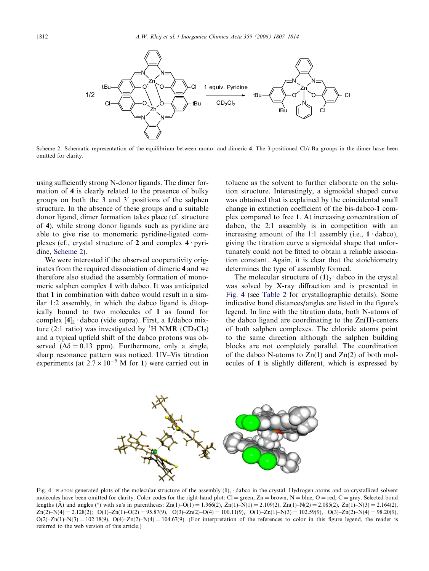<span id="page-5-0"></span>

Scheme 2. Schematic representation of the equilibrium between mono- and dimeric 4. The 3-positioned  $Cl/t$ -Bu groups in the dimer have been omitted for clarity.

using sufficiently strong N-donor ligands. The dimer formation of 4 is clearly related to the presence of bulky groups on both the 3 and  $3'$  positions of the salphen structure. In the absence of these groups and a suitable donor ligand, dimer formation takes place (cf. structure of 4), while strong donor ligands such as pyridine are able to give rise to monomeric pyridine-ligated complexes (cf., crystal structure of 2 and complex  $4 \cdot$  pyridine, Scheme 2).

We were interested if the observed cooperativity originates from the required dissociation of dimeric 4 and we therefore also studied the assembly formation of monomeric salphen complex 1 with dabco. It was anticipated that 1 in combination with dabco would result in a similar 1:2 assembly, in which the dabco ligand is ditopically bound to two molecules of 1 as found for complex  $[4]_2 \cdot$  dabco (vide supra). First, a 1/dabco mixture (2:1 ratio) was investigated by <sup>1</sup>H NMR (CD<sub>2</sub>Cl<sub>2</sub>) and a typical upfield shift of the dabco protons was observed ( $\Delta \delta = 0.13$  ppm). Furthermore, only a single, sharp resonance pattern was noticed. UV–Vis titration experiments (at  $2.7 \times 10^{-5}$  M for 1) were carried out in

toluene as the solvent to further elaborate on the solution structure. Interestingly, a sigmoidal shaped curve was obtained that is explained by the coincidental small change in extinction coefficient of the bis-dabco-1 complex compared to free 1. At increasing concentration of dabco, the 2:1 assembly is in competition with an increasing amount of the 1:1 assembly (i.e.,  $1 \cdot$  dabco), giving the titration curve a sigmoidal shape that unfortunately could not be fitted to obtain a reliable association constant. Again, it is clear that the stoichiometry determines the type of assembly formed.

The molecular structure of  $(1)_2$  dabco in the crystal was solved by X-ray diffraction and is presented in Fig. 4 (see [Table 2](#page-2-0) for crystallographic details). Some indicative bond distances/angles are listed in the figure's legend. In line with the titration data, both N-atoms of the dabco ligand are coordinating to the Zn(II)-centers of both salphen complexes. The chloride atoms point to the same direction although the salphen building blocks are not completely parallel. The coordination of the dabco N-atoms to  $Zn(1)$  and  $Zn(2)$  of both molecules of 1 is slightly different, which is expressed by



Fig. 4. PLATON generated plots of the molecular structure of the assembly  $(1)_2$  dabco in the crystal. Hydrogen atoms and co-crystallized solvent molecules have been omitted for clarity. Color codes for the right-hand plot:  $Cl =$  green,  $Zn =$  brown,  $N =$  blue,  $O =$  red,  $C =$  gray. Selected bond lengths  $(A)$  and angles (°) with su's in parentheses:  $Zn(1)-O(1) = 1.966(2)$ ,  $Zn(1)-N(1) = 2.109(2)$ ,  $Zn(1)-N(2) = 2.085(2)$ ,  $Zn(1)-N(3) = 2.164(2)$ ,  $Zn(2)-N(4) = 2.128(2);$   $Q(1)-Zn(1)-Q(2) = 95.87(9),$   $Q(3)-Zn(2)-Q(4) = 100.11(9),$   $Q(1)-Zn(1)-N(3) = 102.59(9),$   $Q(3)-Zn(2)-N(4) = 98.20(9),$  $O(2)$ –Zn(1)–N(3) = 102.18(9),  $O(4)$ –Zn(2)–N(4) = 104.67(9). (For interpretation of the references to color in this figure legend, the reader is referred to the web version of this article.)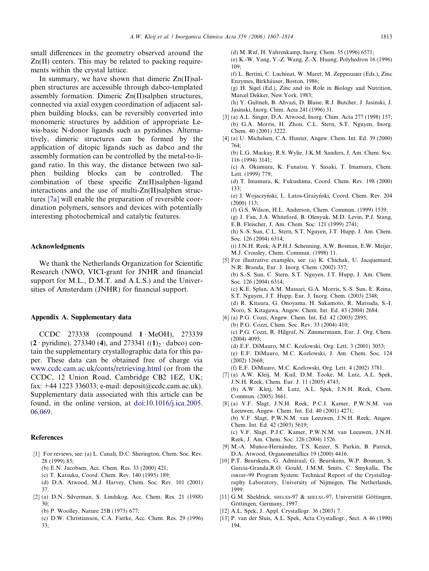<span id="page-6-0"></span>small differences in the geometry observed around the Zn(II) centers. This may be related to packing requirements within the crystal lattice.

In summary, we have shown that dimeric  $Zn(II)$ salphen structures are accessible through dabco-templated assembly formation. Dimeric Zn(II)salphen structures, connected via axial oxygen coordination of adjacent salphen building blocks, can be reversibly converted into monomeric structures by addition of appropriate Lewis-basic N-donor ligands such as pyridines. Alternatively, dimeric structures can be formed by the application of ditopic ligands such as dabco and the assembly formation can be controlled by the metal-to-ligand ratio. In this way, the distance between two salphen building blocks can be controlled. The combination of these specific Zn(II)salphen–ligand interactions and the use of multi-Zn(II)salphen structures [7a] will enable the preparation of reversible coordination polymers, sensors and devices with potentially interesting photochemical and catalytic features.

## Acknowledgments

We thank the Netherlands Organization for Scientific Research (NWO, VICI-grant for JNHR and financial support for M.L., D.M.T. and A.L.S.) and the Universities of Amsterdam (JNHR) for financial support.

#### Appendix A. Supplementary data

CCDC 273338 (compound  $1 \cdot \text{MeOH}$ ), 273339  $(2 \cdot$  pyridine), 273340 (4), and 273341  $((1)_2 \cdot$  dabco) contain the supplementary crystallographic data for this paper. These data can be obtained free of charge via [www.ccdc.cam.ac.uk/conts/retrieving.html](http://www.ccdc.cam.ac.uk/conts/retrieving.html) (or from the CCDC, 12 Union Road, Cambridge CB2 1EZ, UK; fax: +44 1223 336033; e-mail: deposit@ccdc.cam.ac.uk). Supplementary data associated with this article can be found, in the online version, at [doi:10.1016/j.ica.2005.](http://dx.doi.org/10.1016/j.ica.2005.06.069) [06.069](http://dx.doi.org/10.1016/j.ica.2005.06.069).

# References

- [1] For reviews, see: (a) L. Canali, D.C. Sherington, Chem. Soc. Rev. 28 (1999) 85;
	- (b) E.N. Jacobsen, Acc. Chem. Res. 33 (2000) 421;
	- (c) T. Katsuku, Coord. Chem. Rev. 140 (1995) 189;
	- (d) D.A. Atwood, M.J. Harvey, Chem. Soc. Rev. 101 (2001) 37.
- [2] (a) D.N. Silverman, S. Lindskog, Acc. Chem. Res. 21 (1988) 30;
	- (b) P. Woolley, Nature 25B (1975) 677;
	- (c) D.W. Christianson, C.A. Fierke, Acc. Chem. Res. 29 (1996) 33;

(d) M. Ruf, H. Vahrenkamp, Inorg. Chem. 35 (1996) 6571; (e) K.-W. Yang, Y.-Z. Wang, Z.-X. Huang, Polyhedron 16 (1996)  $109.$ 

(f) L. Bertini, C. Luchinat, W. Maret, M. Zeppezauer (Eds.), Zinc Enzymes, Birkhäuser, Boston, 1986;

(g) H. Sigel (Ed.), Zinc and its Role in Biology and Nutrition, Marcel Dekker, New York, 1983;

(h) Y. Gultneh, B. Ahvazi, D. Blaise, R.J. Butcher, J. Jasinski, J. Jasinski, Inorg. Chim. Acta 241 (1996) 31.

- [3] (a) A.L. Singer, D.A. Atwood, Inorg. Chim. Acta 277 (1998) 157; (b) G.A. Morris, H. Zhou, C.L. Stern, S.T. Nguyen, Inorg. Chem. 40 (2001) 3222.
- [4] (a) U. Michelsen, C.A. Hunter, Angew. Chem. Int. Ed. 39 (2000) 764;

(b) L.G. Mackay, R.S. Wylie, J.K.M. Sanders, J. Am. Chem. Soc. 116 (1994) 3141;

(c) A. Okumura, K. Funatsu, Y. Sasaki, T. Imamura, Chem. Lett. (1999) 779;

- (d) T. Imamura, K. Fukushima, Coord. Chem. Rev. 198 (2000) 133;
- (e) J. Wojaczyński, L. Latos-Grazyński, Coord. Chem. Rev. 204 (2000) 113;
- (f) G.S. Wilson, H.L. Anderson, Chem. Commun. (1999) 1539;
- (g) J. Fan, J.A. Whiteford, B. Olenyuk, M.D. Levin, P.J. Stang, E.B. Fleischer, J. Am. Chem. Soc. 121 (1999) 2741;
- (h) S.-S. Sun, C.L. Stern, S.T. Nguyen, J.T. Hupp, J. Am. Chem. Soc. 126 (2004) 6314;
- (i) J.N.H. Reek, A.P.H.J. Schenning, A.W. Bosman, E.W. Meijer, M.J. Crossley, Chem. Commun. (1998) 11.
- [5] For illustrative examples, see: (a) K. Chichak, U. Jacquemard, N.R. Branda, Eur. J. Inorg. Chem. (2002) 357; (b) S.-S. Sun, C. Stern, S.T. Nguyen, J.T. Hupp, J. Am. Chem. Soc. 126 (2004) 6314; (c) K.E. Splan, A.M. Massari, G.A. Morris, S.-S. Sun, E. Reina, S.T. Nguyen, J.T. Hupp, Eur. J. Inorg. Chem. (2003) 2348; (d) R. Kitaura, G. Onoyama, H. Sakamoto, R. Matsuda, S.-I. Noro, S. Kitagawa, Angew. Chem. Int. Ed. 43 (2004) 2684. [6] (a) P.G. Cozzi, Angew. Chem. Int. Ed. 42 (2003) 2895;
- (b) P.G. Cozzi, Chem. Soc. Rev. 33 (2004) 410; (c) P.G. Cozzi, R. Hilgraf, N. Zimmermann, Eur. J. Org. Chem. (2004) 4095; (d) E.F. DiMauro, M.C. Kozlowski, Org. Lett. 3 (2001) 3053;
	- (e) E.F. DiMauro, M.C. Kozlowski, J. Am. Chem. Soc. 124 (2002) 12668;
- (f) E.F. DiMauro, M.C. Kozlowski, Org. Lett. 4 (2002) 3781. [7] (a) A.W. Kleij, M. Kuil, D.M. Tooke, M. Lutz, A.L. Spek, J.N.H. Reek, Chem. Eur. J. 11 (2005) 4743; (b) A.W. Kleij, M. Lutz, A.L. Spek, J.N.H. Reek, Chem.
- Commun. (2005) 3661. [8] (a) V.F. Slagt, J.N.H. Reek, P.C.J. Kamer, P.W.N.M. van Leeuwen, Angew. Chem. Int. Ed. 40 (2001) 4271; (b) V.F. Slagt, P.W.N.M. van Leeuwen, J.N.H. Reek, Angew. Chem. Int. Ed. 42 (2003) 5619; (c) V.F. Slagt, P.J.C. Kamer, P.W.N.M. van Leeuwen, J.N.H.
- Reek, J. Am. Chem. Soc. 126 (2004) 1526. [9] M.-A. Muñoz-Hernández, T.S. Keizer, S. Parkin, B. Patrick, D.A. Atwood, Organometallics 19 (2000) 4416.
- [10] P.T. Beurskens, G. Admiraal, G. Beurskens, W.P. Bosman, S. Garcia-Granda,R.O. Gould, J.M.M. Smits, C. Smykalla, The DIRDIF-99 Program System: Technical Report of the Crystallography Laboratory, University of Nijmegen, The Netherlands, 1999.
- [11] G.M. Sheldrick, SHELXS-97 & SHELXL-97, Universität Göttingen, Göttingen, Germany, 1997.
- [12] A.L. Spek, J. Appl. Crystallogr. 36 (2003) 7.
- [13] P. van der Sluis, A.L. Spek, Acta Crystallogr., Sect. A 46 (1990) 194.